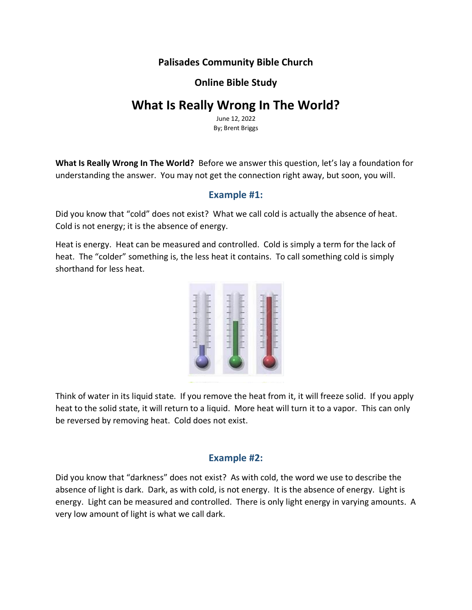# **Palisades Community Bible Church**

## **Online Bible Study**

# **What Is Really Wrong In The World?**

June 12, 2022 By; Brent Briggs

**What Is Really Wrong In The World?** Before we answer this question, let's lay a foundation for understanding the answer. You may not get the connection right away, but soon, you will.

### **Example #1:**

Did you know that "cold" does not exist? What we call cold is actually the absence of heat. Cold is not energy; it is the absence of energy.

Heat is energy. Heat can be measured and controlled. Cold is simply a term for the lack of heat. The "colder" something is, the less heat it contains. To call something cold is simply shorthand for less heat.



Think of water in its liquid state. If you remove the heat from it, it will freeze solid. If you apply heat to the solid state, it will return to a liquid. More heat will turn it to a vapor. This can only be reversed by removing heat. Cold does not exist.

#### **Example #2:**

Did you know that "darkness" does not exist? As with cold, the word we use to describe the absence of light is dark. Dark, as with cold, is not energy. It is the absence of energy. Light is energy. Light can be measured and controlled. There is only light energy in varying amounts. A very low amount of light is what we call dark.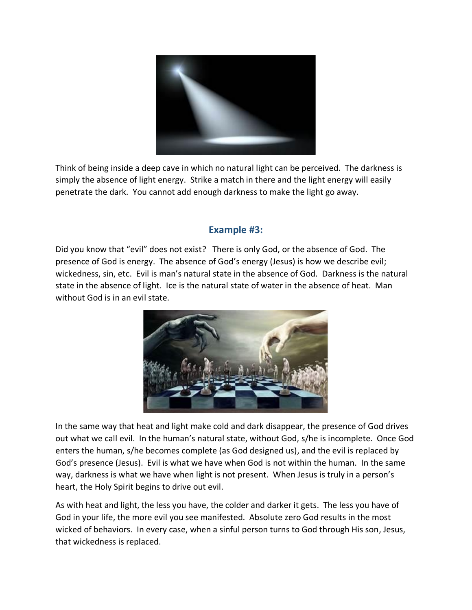

Think of being inside a deep cave in which no natural light can be perceived. The darkness is simply the absence of light energy. Strike a match in there and the light energy will easily penetrate the dark. You cannot add enough darkness to make the light go away.

# **Example #3:**

Did you know that "evil" does not exist? There is only God, or the absence of God. The presence of God is energy. The absence of God's energy (Jesus) is how we describe evil; wickedness, sin, etc. Evil is man's natural state in the absence of God. Darkness is the natural state in the absence of light. Ice is the natural state of water in the absence of heat. Man without God is in an evil state.



In the same way that heat and light make cold and dark disappear, the presence of God drives out what we call evil. In the human's natural state, without God, s/he is incomplete. Once God enters the human, s/he becomes complete (as God designed us), and the evil is replaced by God's presence (Jesus). Evil is what we have when God is not within the human. In the same way, darkness is what we have when light is not present. When Jesus is truly in a person's heart, the Holy Spirit begins to drive out evil.

As with heat and light, the less you have, the colder and darker it gets. The less you have of God in your life, the more evil you see manifested. Absolute zero God results in the most wicked of behaviors. In every case, when a sinful person turns to God through His son, Jesus, that wickedness is replaced.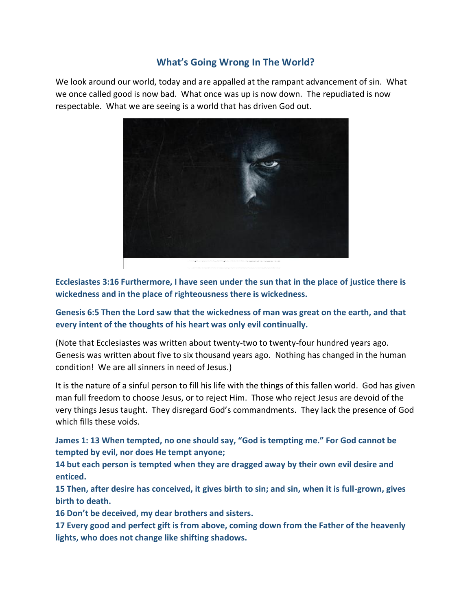# **What's Going Wrong In The World?**

We look around our world, today and are appalled at the rampant advancement of sin. What we once called good is now bad. What once was up is now down. The repudiated is now respectable. What we are seeing is a world that has driven God out.



**Ecclesiastes 3:16 Furthermore, I have seen under the sun that in the place of justice there is wickedness and in the place of righteousness there is wickedness.**

**Genesis 6:5 Then the Lord saw that the wickedness of man was great on the earth, and that every intent of the thoughts of his heart was only evil continually.**

(Note that Ecclesiastes was written about twenty-two to twenty-four hundred years ago. Genesis was written about five to six thousand years ago. Nothing has changed in the human condition! We are all sinners in need of Jesus.)

It is the nature of a sinful person to fill his life with the things of this fallen world. God has given man full freedom to choose Jesus, or to reject Him. Those who reject Jesus are devoid of the very things Jesus taught. They disregard God's commandments. They lack the presence of God which fills these voids.

**James 1: 13 When tempted, no one should say, "God is tempting me." For God cannot be tempted by evil, nor does He tempt anyone;** 

**14 but each person is tempted when they are dragged away by their own evil desire and enticed.** 

**15 Then, after desire has conceived, it gives birth to sin; and sin, when it is full-grown, gives birth to death.** 

**16 Don't be deceived, my dear brothers and sisters.** 

**17 Every good and perfect gift is from above, coming down from the Father of the heavenly lights, who does not change like shifting shadows.**